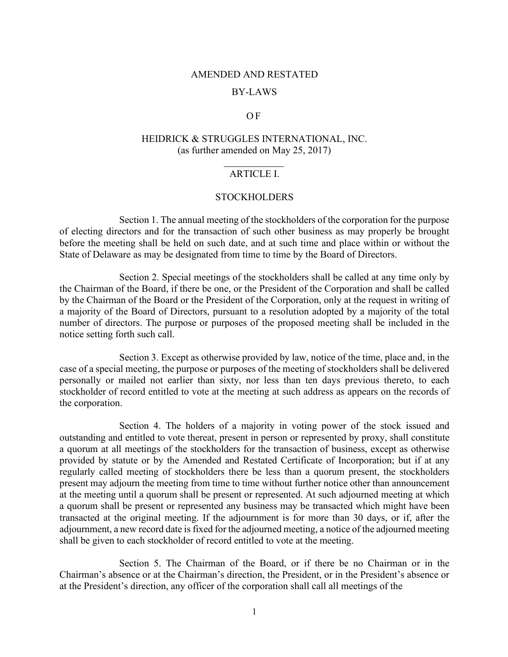### AMENDED AND RESTATED

### BY-LAWS

#### O F

# HEIDRICK & STRUGGLES INTERNATIONAL, INC. (as further amended on May 25, 2017)

### ARTICLE I.

#### **STOCKHOLDERS**

Section 1. The annual meeting of the stockholders of the corporation for the purpose of electing directors and for the transaction of such other business as may properly be brought before the meeting shall be held on such date, and at such time and place within or without the State of Delaware as may be designated from time to time by the Board of Directors.

Section 2. Special meetings of the stockholders shall be called at any time only by the Chairman of the Board, if there be one, or the President of the Corporation and shall be called by the Chairman of the Board or the President of the Corporation, only at the request in writing of a majority of the Board of Directors, pursuant to a resolution adopted by a majority of the total number of directors. The purpose or purposes of the proposed meeting shall be included in the notice setting forth such call.

Section 3. Except as otherwise provided by law, notice of the time, place and, in the case of a special meeting, the purpose or purposes of the meeting of stockholders shall be delivered personally or mailed not earlier than sixty, nor less than ten days previous thereto, to each stockholder of record entitled to vote at the meeting at such address as appears on the records of the corporation.

Section 4. The holders of a majority in voting power of the stock issued and outstanding and entitled to vote thereat, present in person or represented by proxy, shall constitute a quorum at all meetings of the stockholders for the transaction of business, except as otherwise provided by statute or by the Amended and Restated Certificate of Incorporation; but if at any regularly called meeting of stockholders there be less than a quorum present, the stockholders present may adjourn the meeting from time to time without further notice other than announcement at the meeting until a quorum shall be present or represented. At such adjourned meeting at which a quorum shall be present or represented any business may be transacted which might have been transacted at the original meeting. If the adjournment is for more than 30 days, or if, after the adjournment, a new record date is fixed for the adjourned meeting, a notice of the adjourned meeting shall be given to each stockholder of record entitled to vote at the meeting.

Section 5. The Chairman of the Board, or if there be no Chairman or in the Chairman's absence or at the Chairman's direction, the President, or in the President's absence or at the President's direction, any officer of the corporation shall call all meetings of the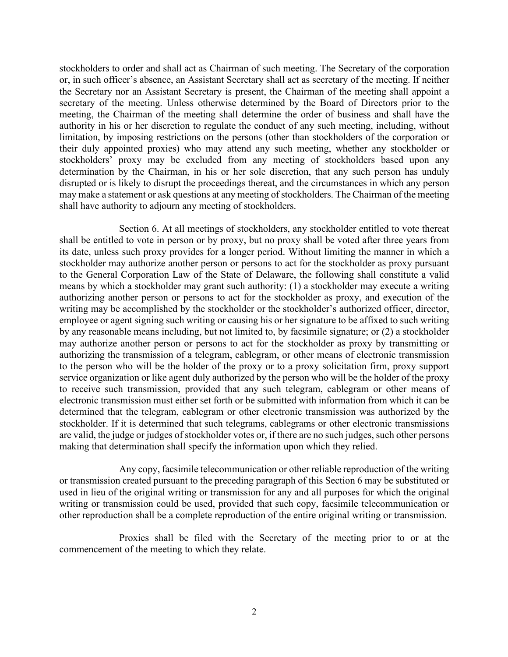stockholders to order and shall act as Chairman of such meeting. The Secretary of the corporation or, in such officer's absence, an Assistant Secretary shall act as secretary of the meeting. If neither the Secretary nor an Assistant Secretary is present, the Chairman of the meeting shall appoint a secretary of the meeting. Unless otherwise determined by the Board of Directors prior to the meeting, the Chairman of the meeting shall determine the order of business and shall have the authority in his or her discretion to regulate the conduct of any such meeting, including, without limitation, by imposing restrictions on the persons (other than stockholders of the corporation or their duly appointed proxies) who may attend any such meeting, whether any stockholder or stockholders' proxy may be excluded from any meeting of stockholders based upon any determination by the Chairman, in his or her sole discretion, that any such person has unduly disrupted or is likely to disrupt the proceedings thereat, and the circumstances in which any person may make a statement or ask questions at any meeting of stockholders. The Chairman of the meeting shall have authority to adjourn any meeting of stockholders.

Section 6. At all meetings of stockholders, any stockholder entitled to vote thereat shall be entitled to vote in person or by proxy, but no proxy shall be voted after three years from its date, unless such proxy provides for a longer period. Without limiting the manner in which a stockholder may authorize another person or persons to act for the stockholder as proxy pursuant to the General Corporation Law of the State of Delaware, the following shall constitute a valid means by which a stockholder may grant such authority: (1) a stockholder may execute a writing authorizing another person or persons to act for the stockholder as proxy, and execution of the writing may be accomplished by the stockholder or the stockholder's authorized officer, director, employee or agent signing such writing or causing his or her signature to be affixed to such writing by any reasonable means including, but not limited to, by facsimile signature; or (2) a stockholder may authorize another person or persons to act for the stockholder as proxy by transmitting or authorizing the transmission of a telegram, cablegram, or other means of electronic transmission to the person who will be the holder of the proxy or to a proxy solicitation firm, proxy support service organization or like agent duly authorized by the person who will be the holder of the proxy to receive such transmission, provided that any such telegram, cablegram or other means of electronic transmission must either set forth or be submitted with information from which it can be determined that the telegram, cablegram or other electronic transmission was authorized by the stockholder. If it is determined that such telegrams, cablegrams or other electronic transmissions are valid, the judge or judges of stockholder votes or, if there are no such judges, such other persons making that determination shall specify the information upon which they relied.

Any copy, facsimile telecommunication or other reliable reproduction of the writing or transmission created pursuant to the preceding paragraph of this Section 6 may be substituted or used in lieu of the original writing or transmission for any and all purposes for which the original writing or transmission could be used, provided that such copy, facsimile telecommunication or other reproduction shall be a complete reproduction of the entire original writing or transmission.

Proxies shall be filed with the Secretary of the meeting prior to or at the commencement of the meeting to which they relate.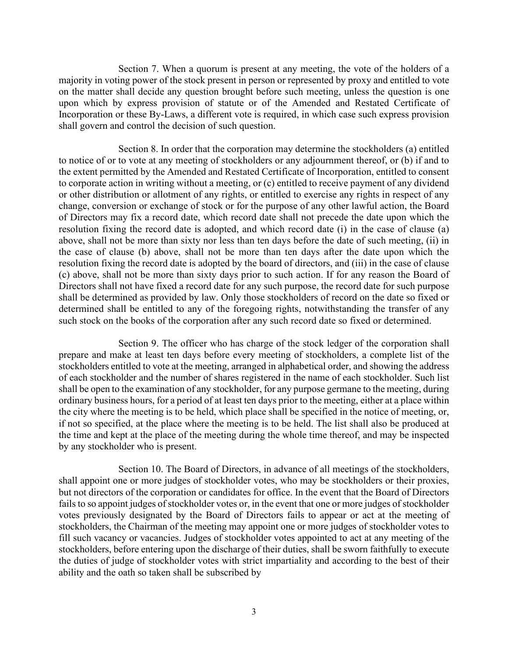Section 7. When a quorum is present at any meeting, the vote of the holders of a majority in voting power of the stock present in person or represented by proxy and entitled to vote on the matter shall decide any question brought before such meeting, unless the question is one upon which by express provision of statute or of the Amended and Restated Certificate of Incorporation or these By-Laws, a different vote is required, in which case such express provision shall govern and control the decision of such question.

Section 8. In order that the corporation may determine the stockholders (a) entitled to notice of or to vote at any meeting of stockholders or any adjournment thereof, or (b) if and to the extent permitted by the Amended and Restated Certificate of Incorporation, entitled to consent to corporate action in writing without a meeting, or (c) entitled to receive payment of any dividend or other distribution or allotment of any rights, or entitled to exercise any rights in respect of any change, conversion or exchange of stock or for the purpose of any other lawful action, the Board of Directors may fix a record date, which record date shall not precede the date upon which the resolution fixing the record date is adopted, and which record date (i) in the case of clause (a) above, shall not be more than sixty nor less than ten days before the date of such meeting, (ii) in the case of clause (b) above, shall not be more than ten days after the date upon which the resolution fixing the record date is adopted by the board of directors, and (iii) in the case of clause (c) above, shall not be more than sixty days prior to such action. If for any reason the Board of Directors shall not have fixed a record date for any such purpose, the record date for such purpose shall be determined as provided by law. Only those stockholders of record on the date so fixed or determined shall be entitled to any of the foregoing rights, notwithstanding the transfer of any such stock on the books of the corporation after any such record date so fixed or determined.

Section 9. The officer who has charge of the stock ledger of the corporation shall prepare and make at least ten days before every meeting of stockholders, a complete list of the stockholders entitled to vote at the meeting, arranged in alphabetical order, and showing the address of each stockholder and the number of shares registered in the name of each stockholder. Such list shall be open to the examination of any stockholder, for any purpose germane to the meeting, during ordinary business hours, for a period of at least ten days prior to the meeting, either at a place within the city where the meeting is to be held, which place shall be specified in the notice of meeting, or, if not so specified, at the place where the meeting is to be held. The list shall also be produced at the time and kept at the place of the meeting during the whole time thereof, and may be inspected by any stockholder who is present.

Section 10. The Board of Directors, in advance of all meetings of the stockholders, shall appoint one or more judges of stockholder votes, who may be stockholders or their proxies, but not directors of the corporation or candidates for office. In the event that the Board of Directors fails to so appoint judges of stockholder votes or, in the event that one or more judges of stockholder votes previously designated by the Board of Directors fails to appear or act at the meeting of stockholders, the Chairman of the meeting may appoint one or more judges of stockholder votes to fill such vacancy or vacancies. Judges of stockholder votes appointed to act at any meeting of the stockholders, before entering upon the discharge of their duties, shall be sworn faithfully to execute the duties of judge of stockholder votes with strict impartiality and according to the best of their ability and the oath so taken shall be subscribed by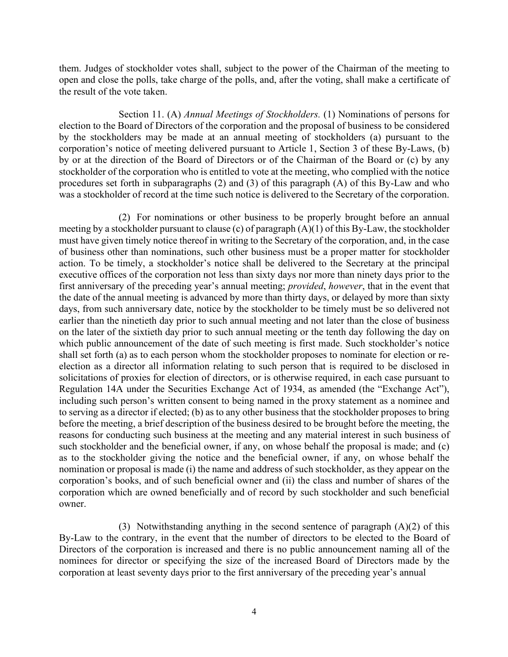them. Judges of stockholder votes shall, subject to the power of the Chairman of the meeting to open and close the polls, take charge of the polls, and, after the voting, shall make a certificate of the result of the vote taken.

Section 11. (A) *Annual Meetings of Stockholders.* (1) Nominations of persons for election to the Board of Directors of the corporation and the proposal of business to be considered by the stockholders may be made at an annual meeting of stockholders (a) pursuant to the corporation's notice of meeting delivered pursuant to Article 1, Section 3 of these By-Laws, (b) by or at the direction of the Board of Directors or of the Chairman of the Board or (c) by any stockholder of the corporation who is entitled to vote at the meeting, who complied with the notice procedures set forth in subparagraphs (2) and (3) of this paragraph (A) of this By-Law and who was a stockholder of record at the time such notice is delivered to the Secretary of the corporation.

(2) For nominations or other business to be properly brought before an annual meeting by a stockholder pursuant to clause (c) of paragraph (A)(1) of this By-Law, the stockholder must have given timely notice thereof in writing to the Secretary of the corporation, and, in the case of business other than nominations, such other business must be a proper matter for stockholder action. To be timely, a stockholder's notice shall be delivered to the Secretary at the principal executive offices of the corporation not less than sixty days nor more than ninety days prior to the first anniversary of the preceding year's annual meeting; *provided*, *however*, that in the event that the date of the annual meeting is advanced by more than thirty days, or delayed by more than sixty days, from such anniversary date, notice by the stockholder to be timely must be so delivered not earlier than the ninetieth day prior to such annual meeting and not later than the close of business on the later of the sixtieth day prior to such annual meeting or the tenth day following the day on which public announcement of the date of such meeting is first made. Such stockholder's notice shall set forth (a) as to each person whom the stockholder proposes to nominate for election or reelection as a director all information relating to such person that is required to be disclosed in solicitations of proxies for election of directors, or is otherwise required, in each case pursuant to Regulation 14A under the Securities Exchange Act of 1934, as amended (the "Exchange Act"), including such person's written consent to being named in the proxy statement as a nominee and to serving as a director if elected; (b) as to any other business that the stockholder proposes to bring before the meeting, a brief description of the business desired to be brought before the meeting, the reasons for conducting such business at the meeting and any material interest in such business of such stockholder and the beneficial owner, if any, on whose behalf the proposal is made; and (c) as to the stockholder giving the notice and the beneficial owner, if any, on whose behalf the nomination or proposal is made (i) the name and address of such stockholder, as they appear on the corporation's books, and of such beneficial owner and (ii) the class and number of shares of the corporation which are owned beneficially and of record by such stockholder and such beneficial owner.

(3) Notwithstanding anything in the second sentence of paragraph  $(A)(2)$  of this By-Law to the contrary, in the event that the number of directors to be elected to the Board of Directors of the corporation is increased and there is no public announcement naming all of the nominees for director or specifying the size of the increased Board of Directors made by the corporation at least seventy days prior to the first anniversary of the preceding year's annual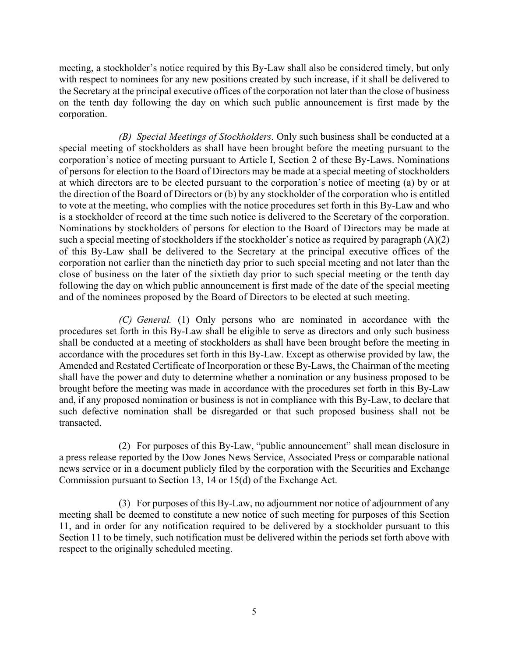meeting, a stockholder's notice required by this By-Law shall also be considered timely, but only with respect to nominees for any new positions created by such increase, if it shall be delivered to the Secretary at the principal executive offices of the corporation not later than the close of business on the tenth day following the day on which such public announcement is first made by the corporation.

*(B) Special Meetings of Stockholders.* Only such business shall be conducted at a special meeting of stockholders as shall have been brought before the meeting pursuant to the corporation's notice of meeting pursuant to Article I, Section 2 of these By-Laws. Nominations of persons for election to the Board of Directors may be made at a special meeting of stockholders at which directors are to be elected pursuant to the corporation's notice of meeting (a) by or at the direction of the Board of Directors or (b) by any stockholder of the corporation who is entitled to vote at the meeting, who complies with the notice procedures set forth in this By-Law and who is a stockholder of record at the time such notice is delivered to the Secretary of the corporation. Nominations by stockholders of persons for election to the Board of Directors may be made at such a special meeting of stockholders if the stockholder's notice as required by paragraph  $(A)(2)$ of this By-Law shall be delivered to the Secretary at the principal executive offices of the corporation not earlier than the ninetieth day prior to such special meeting and not later than the close of business on the later of the sixtieth day prior to such special meeting or the tenth day following the day on which public announcement is first made of the date of the special meeting and of the nominees proposed by the Board of Directors to be elected at such meeting.

*(C) General.* (1) Only persons who are nominated in accordance with the procedures set forth in this By-Law shall be eligible to serve as directors and only such business shall be conducted at a meeting of stockholders as shall have been brought before the meeting in accordance with the procedures set forth in this By-Law. Except as otherwise provided by law, the Amended and Restated Certificate of Incorporation or these By-Laws, the Chairman of the meeting shall have the power and duty to determine whether a nomination or any business proposed to be brought before the meeting was made in accordance with the procedures set forth in this By-Law and, if any proposed nomination or business is not in compliance with this By-Law, to declare that such defective nomination shall be disregarded or that such proposed business shall not be transacted.

(2) For purposes of this By-Law, "public announcement" shall mean disclosure in a press release reported by the Dow Jones News Service, Associated Press or comparable national news service or in a document publicly filed by the corporation with the Securities and Exchange Commission pursuant to Section 13, 14 or 15(d) of the Exchange Act.

(3) For purposes of this By-Law, no adjournment nor notice of adjournment of any meeting shall be deemed to constitute a new notice of such meeting for purposes of this Section 11, and in order for any notification required to be delivered by a stockholder pursuant to this Section 11 to be timely, such notification must be delivered within the periods set forth above with respect to the originally scheduled meeting.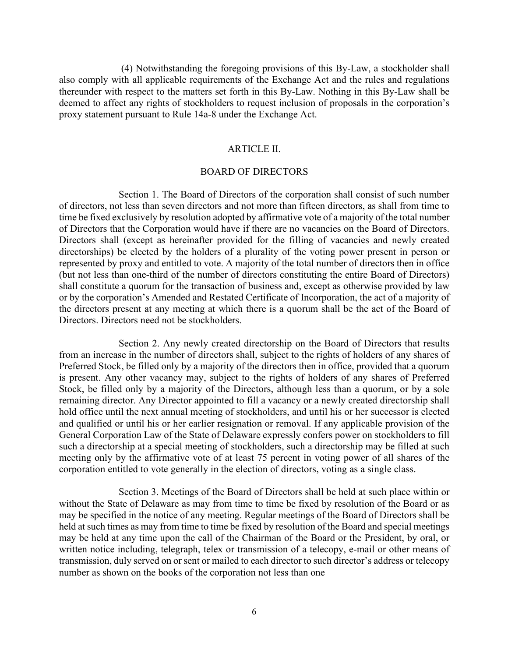(4) Notwithstanding the foregoing provisions of this By-Law, a stockholder shall also comply with all applicable requirements of the Exchange Act and the rules and regulations thereunder with respect to the matters set forth in this By-Law. Nothing in this By-Law shall be deemed to affect any rights of stockholders to request inclusion of proposals in the corporation's proxy statement pursuant to Rule 14a-8 under the Exchange Act.

#### ARTICLE II.

#### BOARD OF DIRECTORS

Section 1. The Board of Directors of the corporation shall consist of such number of directors, not less than seven directors and not more than fifteen directors, as shall from time to time be fixed exclusively by resolution adopted by affirmative vote of a majority of the total number of Directors that the Corporation would have if there are no vacancies on the Board of Directors. Directors shall (except as hereinafter provided for the filling of vacancies and newly created directorships) be elected by the holders of a plurality of the voting power present in person or represented by proxy and entitled to vote. A majority of the total number of directors then in office (but not less than one-third of the number of directors constituting the entire Board of Directors) shall constitute a quorum for the transaction of business and, except as otherwise provided by law or by the corporation's Amended and Restated Certificate of Incorporation, the act of a majority of the directors present at any meeting at which there is a quorum shall be the act of the Board of Directors. Directors need not be stockholders.

Section 2. Any newly created directorship on the Board of Directors that results from an increase in the number of directors shall, subject to the rights of holders of any shares of Preferred Stock, be filled only by a majority of the directors then in office, provided that a quorum is present. Any other vacancy may, subject to the rights of holders of any shares of Preferred Stock, be filled only by a majority of the Directors, although less than a quorum, or by a sole remaining director. Any Director appointed to fill a vacancy or a newly created directorship shall hold office until the next annual meeting of stockholders, and until his or her successor is elected and qualified or until his or her earlier resignation or removal. If any applicable provision of the General Corporation Law of the State of Delaware expressly confers power on stockholders to fill such a directorship at a special meeting of stockholders, such a directorship may be filled at such meeting only by the affirmative vote of at least 75 percent in voting power of all shares of the corporation entitled to vote generally in the election of directors, voting as a single class.

Section 3. Meetings of the Board of Directors shall be held at such place within or without the State of Delaware as may from time to time be fixed by resolution of the Board or as may be specified in the notice of any meeting. Regular meetings of the Board of Directors shall be held at such times as may from time to time be fixed by resolution of the Board and special meetings may be held at any time upon the call of the Chairman of the Board or the President, by oral, or written notice including, telegraph, telex or transmission of a telecopy, e-mail or other means of transmission, duly served on or sent or mailed to each director to such director's address or telecopy number as shown on the books of the corporation not less than one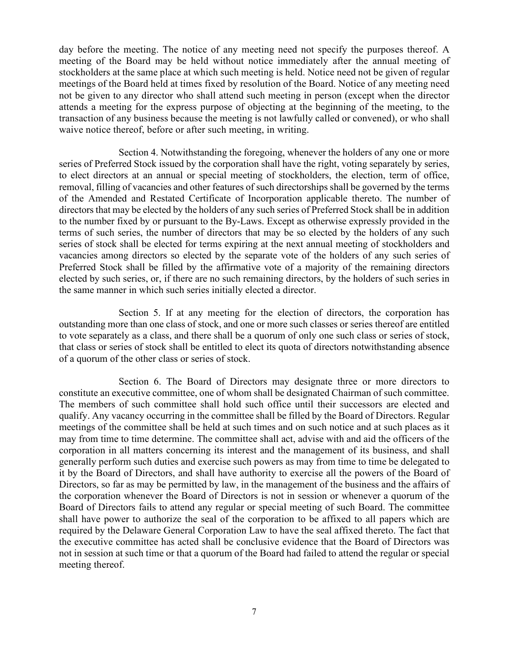day before the meeting. The notice of any meeting need not specify the purposes thereof. A meeting of the Board may be held without notice immediately after the annual meeting of stockholders at the same place at which such meeting is held. Notice need not be given of regular meetings of the Board held at times fixed by resolution of the Board. Notice of any meeting need not be given to any director who shall attend such meeting in person (except when the director attends a meeting for the express purpose of objecting at the beginning of the meeting, to the transaction of any business because the meeting is not lawfully called or convened), or who shall waive notice thereof, before or after such meeting, in writing.

Section 4. Notwithstanding the foregoing, whenever the holders of any one or more series of Preferred Stock issued by the corporation shall have the right, voting separately by series, to elect directors at an annual or special meeting of stockholders, the election, term of office, removal, filling of vacancies and other features of such directorships shall be governed by the terms of the Amended and Restated Certificate of Incorporation applicable thereto. The number of directors that may be elected by the holders of any such series of Preferred Stock shall be in addition to the number fixed by or pursuant to the By-Laws. Except as otherwise expressly provided in the terms of such series, the number of directors that may be so elected by the holders of any such series of stock shall be elected for terms expiring at the next annual meeting of stockholders and vacancies among directors so elected by the separate vote of the holders of any such series of Preferred Stock shall be filled by the affirmative vote of a majority of the remaining directors elected by such series, or, if there are no such remaining directors, by the holders of such series in the same manner in which such series initially elected a director.

Section 5. If at any meeting for the election of directors, the corporation has outstanding more than one class of stock, and one or more such classes or series thereof are entitled to vote separately as a class, and there shall be a quorum of only one such class or series of stock, that class or series of stock shall be entitled to elect its quota of directors notwithstanding absence of a quorum of the other class or series of stock.

Section 6. The Board of Directors may designate three or more directors to constitute an executive committee, one of whom shall be designated Chairman of such committee. The members of such committee shall hold such office until their successors are elected and qualify. Any vacancy occurring in the committee shall be filled by the Board of Directors. Regular meetings of the committee shall be held at such times and on such notice and at such places as it may from time to time determine. The committee shall act, advise with and aid the officers of the corporation in all matters concerning its interest and the management of its business, and shall generally perform such duties and exercise such powers as may from time to time be delegated to it by the Board of Directors, and shall have authority to exercise all the powers of the Board of Directors, so far as may be permitted by law, in the management of the business and the affairs of the corporation whenever the Board of Directors is not in session or whenever a quorum of the Board of Directors fails to attend any regular or special meeting of such Board. The committee shall have power to authorize the seal of the corporation to be affixed to all papers which are required by the Delaware General Corporation Law to have the seal affixed thereto. The fact that the executive committee has acted shall be conclusive evidence that the Board of Directors was not in session at such time or that a quorum of the Board had failed to attend the regular or special meeting thereof.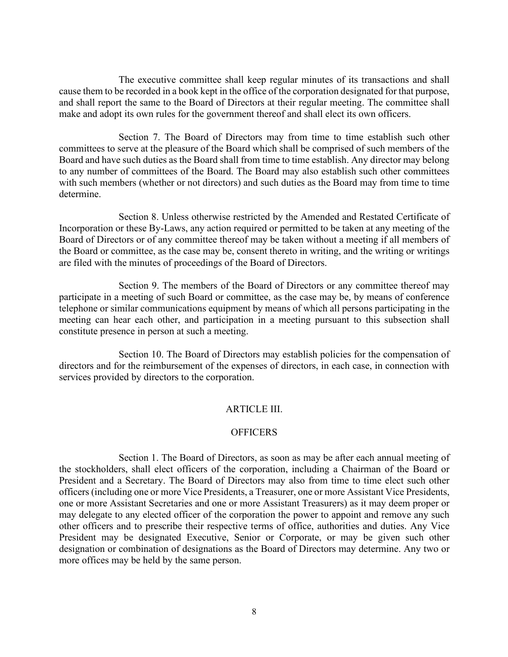The executive committee shall keep regular minutes of its transactions and shall cause them to be recorded in a book kept in the office of the corporation designated for that purpose, and shall report the same to the Board of Directors at their regular meeting. The committee shall make and adopt its own rules for the government thereof and shall elect its own officers.

Section 7. The Board of Directors may from time to time establish such other committees to serve at the pleasure of the Board which shall be comprised of such members of the Board and have such duties as the Board shall from time to time establish. Any director may belong to any number of committees of the Board. The Board may also establish such other committees with such members (whether or not directors) and such duties as the Board may from time to time determine.

Section 8. Unless otherwise restricted by the Amended and Restated Certificate of Incorporation or these By-Laws, any action required or permitted to be taken at any meeting of the Board of Directors or of any committee thereof may be taken without a meeting if all members of the Board or committee, as the case may be, consent thereto in writing, and the writing or writings are filed with the minutes of proceedings of the Board of Directors.

Section 9. The members of the Board of Directors or any committee thereof may participate in a meeting of such Board or committee, as the case may be, by means of conference telephone or similar communications equipment by means of which all persons participating in the meeting can hear each other, and participation in a meeting pursuant to this subsection shall constitute presence in person at such a meeting.

Section 10. The Board of Directors may establish policies for the compensation of directors and for the reimbursement of the expenses of directors, in each case, in connection with services provided by directors to the corporation.

### ARTICLE III.

#### **OFFICERS**

Section 1. The Board of Directors, as soon as may be after each annual meeting of the stockholders, shall elect officers of the corporation, including a Chairman of the Board or President and a Secretary. The Board of Directors may also from time to time elect such other officers (including one or more Vice Presidents, a Treasurer, one or more Assistant Vice Presidents, one or more Assistant Secretaries and one or more Assistant Treasurers) as it may deem proper or may delegate to any elected officer of the corporation the power to appoint and remove any such other officers and to prescribe their respective terms of office, authorities and duties. Any Vice President may be designated Executive, Senior or Corporate, or may be given such other designation or combination of designations as the Board of Directors may determine. Any two or more offices may be held by the same person.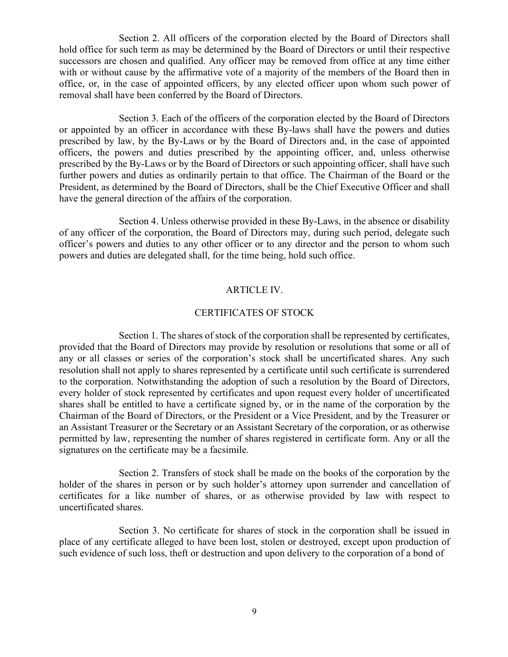Section 2. All officers of the corporation elected by the Board of Directors shall hold office for such term as may be determined by the Board of Directors or until their respective successors are chosen and qualified. Any officer may be removed from office at any time either with or without cause by the affirmative vote of a majority of the members of the Board then in office, or, in the case of appointed officers, by any elected officer upon whom such power of removal shall have been conferred by the Board of Directors.

Section 3. Each of the officers of the corporation elected by the Board of Directors or appointed by an officer in accordance with these By-laws shall have the powers and duties prescribed by law, by the By-Laws or by the Board of Directors and, in the case of appointed officers, the powers and duties prescribed by the appointing officer, and, unless otherwise prescribed by the By-Laws or by the Board of Directors or such appointing officer, shall have such further powers and duties as ordinarily pertain to that office. The Chairman of the Board or the President, as determined by the Board of Directors, shall be the Chief Executive Officer and shall have the general direction of the affairs of the corporation.

Section 4. Unless otherwise provided in these By-Laws, in the absence or disability of any officer of the corporation, the Board of Directors may, during such period, delegate such officer's powers and duties to any other officer or to any director and the person to whom such powers and duties are delegated shall, for the time being, hold such office.

## ARTICLE IV.

### CERTIFICATES OF STOCK

Section 1. The shares of stock of the corporation shall be represented by certificates, provided that the Board of Directors may provide by resolution or resolutions that some or all of any or all classes or series of the corporation's stock shall be uncertificated shares. Any such resolution shall not apply to shares represented by a certificate until such certificate is surrendered to the corporation. Notwithstanding the adoption of such a resolution by the Board of Directors, every holder of stock represented by certificates and upon request every holder of uncertificated shares shall be entitled to have a certificate signed by, or in the name of the corporation by the Chairman of the Board of Directors, or the President or a Vice President, and by the Treasurer or an Assistant Treasurer or the Secretary or an Assistant Secretary of the corporation, or as otherwise permitted by law, representing the number of shares registered in certificate form. Any or all the signatures on the certificate may be a facsimile.

Section 2. Transfers of stock shall be made on the books of the corporation by the holder of the shares in person or by such holder's attorney upon surrender and cancellation of certificates for a like number of shares, or as otherwise provided by law with respect to uncertificated shares.

Section 3. No certificate for shares of stock in the corporation shall be issued in place of any certificate alleged to have been lost, stolen or destroyed, except upon production of such evidence of such loss, theft or destruction and upon delivery to the corporation of a bond of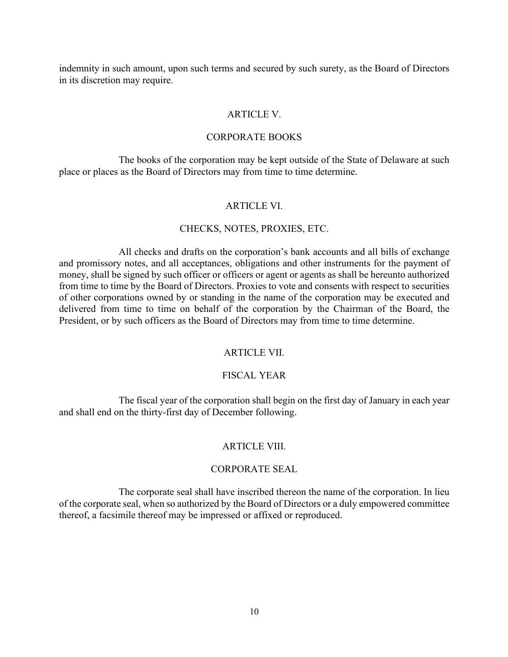indemnity in such amount, upon such terms and secured by such surety, as the Board of Directors in its discretion may require.

### ARTICLE V.

### CORPORATE BOOKS

The books of the corporation may be kept outside of the State of Delaware at such place or places as the Board of Directors may from time to time determine.

## ARTICLE VI.

### CHECKS, NOTES, PROXIES, ETC.

All checks and drafts on the corporation's bank accounts and all bills of exchange and promissory notes, and all acceptances, obligations and other instruments for the payment of money, shall be signed by such officer or officers or agent or agents as shall be hereunto authorized from time to time by the Board of Directors. Proxies to vote and consents with respect to securities of other corporations owned by or standing in the name of the corporation may be executed and delivered from time to time on behalf of the corporation by the Chairman of the Board, the President, or by such officers as the Board of Directors may from time to time determine.

### ARTICLE VII.

### FISCAL YEAR

The fiscal year of the corporation shall begin on the first day of January in each year and shall end on the thirty-first day of December following.

### ARTICLE VIII.

#### CORPORATE SEAL

The corporate seal shall have inscribed thereon the name of the corporation. In lieu of the corporate seal, when so authorized by the Board of Directors or a duly empowered committee thereof, a facsimile thereof may be impressed or affixed or reproduced.